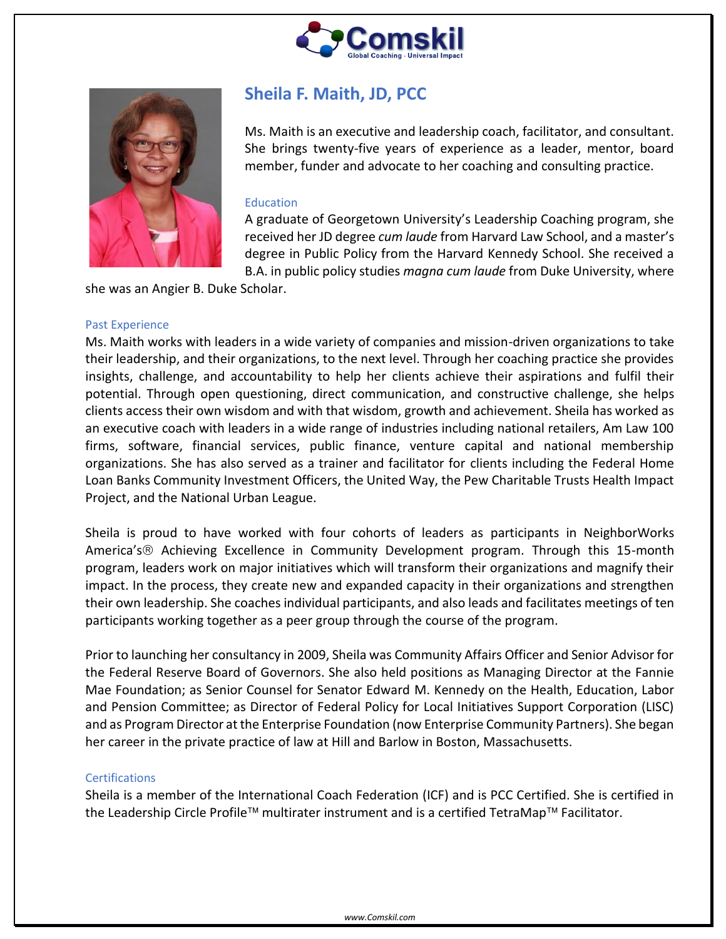



# **Sheila F. Maith, JD, PCC**

Ms. Maith is an executive and leadership coach, facilitator, and consultant. She brings twenty-five years of experience as a leader, mentor, board member, funder and advocate to her coaching and consulting practice.

## Education

A graduate of Georgetown University's Leadership Coaching program, she received her JD degree *cum laude* from Harvard Law School, and a master's degree in Public Policy from the Harvard Kennedy School. She received a B.A. in public policy studies *magna cum laude* from Duke University, where

she was an Angier B. Duke Scholar.

#### Past Experience

Ms. Maith works with leaders in a wide variety of companies and mission-driven organizations to take their leadership, and their organizations, to the next level. Through her coaching practice she provides insights, challenge, and accountability to help her clients achieve their aspirations and fulfil their potential. Through open questioning, direct communication, and constructive challenge, she helps clients access their own wisdom and with that wisdom, growth and achievement. Sheila has worked as an executive coach with leaders in a wide range of industries including national retailers, Am Law 100 firms, software, financial services, public finance, venture capital and national membership organizations. She has also served as a trainer and facilitator for clients including the Federal Home Loan Banks Community Investment Officers, the United Way, the Pew Charitable Trusts Health Impact Project, and the National Urban League.

Sheila is proud to have worked with four cohorts of leaders as participants in NeighborWorks America's ® Achieving Excellence in Community Development program. Through this 15-month program, leaders work on major initiatives which will transform their organizations and magnify their impact. In the process, they create new and expanded capacity in their organizations and strengthen their own leadership. She coaches individual participants, and also leads and facilitates meetings of ten participants working together as a peer group through the course of the program.

Prior to launching her consultancy in 2009, Sheila was Community Affairs Officer and Senior Advisor for the Federal Reserve Board of Governors. She also held positions as Managing Director at the Fannie Mae Foundation; as Senior Counsel for Senator Edward M. Kennedy on the Health, Education, Labor and Pension Committee; as Director of Federal Policy for Local Initiatives Support Corporation (LISC) and as Program Director at the Enterprise Foundation (now Enterprise Community Partners). She began her career in the private practice of law at Hill and Barlow in Boston, Massachusetts.

### **Certifications**

Sheila is a member of the International Coach Federation (ICF) and is PCC Certified. She is certified in the Leadership Circle Profile™ multirater instrument and is a certified TetraMap™ Facilitator.